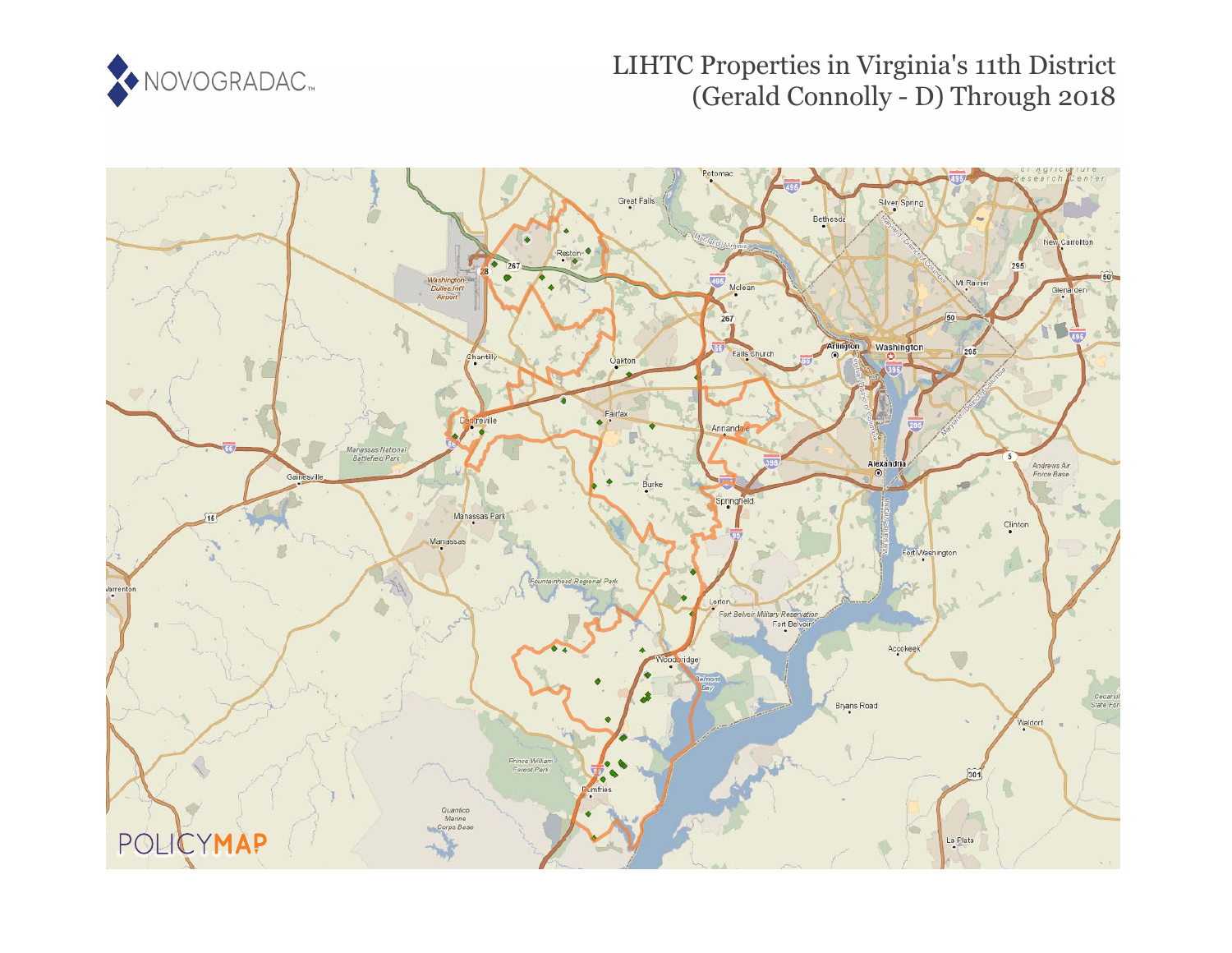

## LIHTC Properties in Virginia's 11th District (Gerald Connolly - D) Through 2018

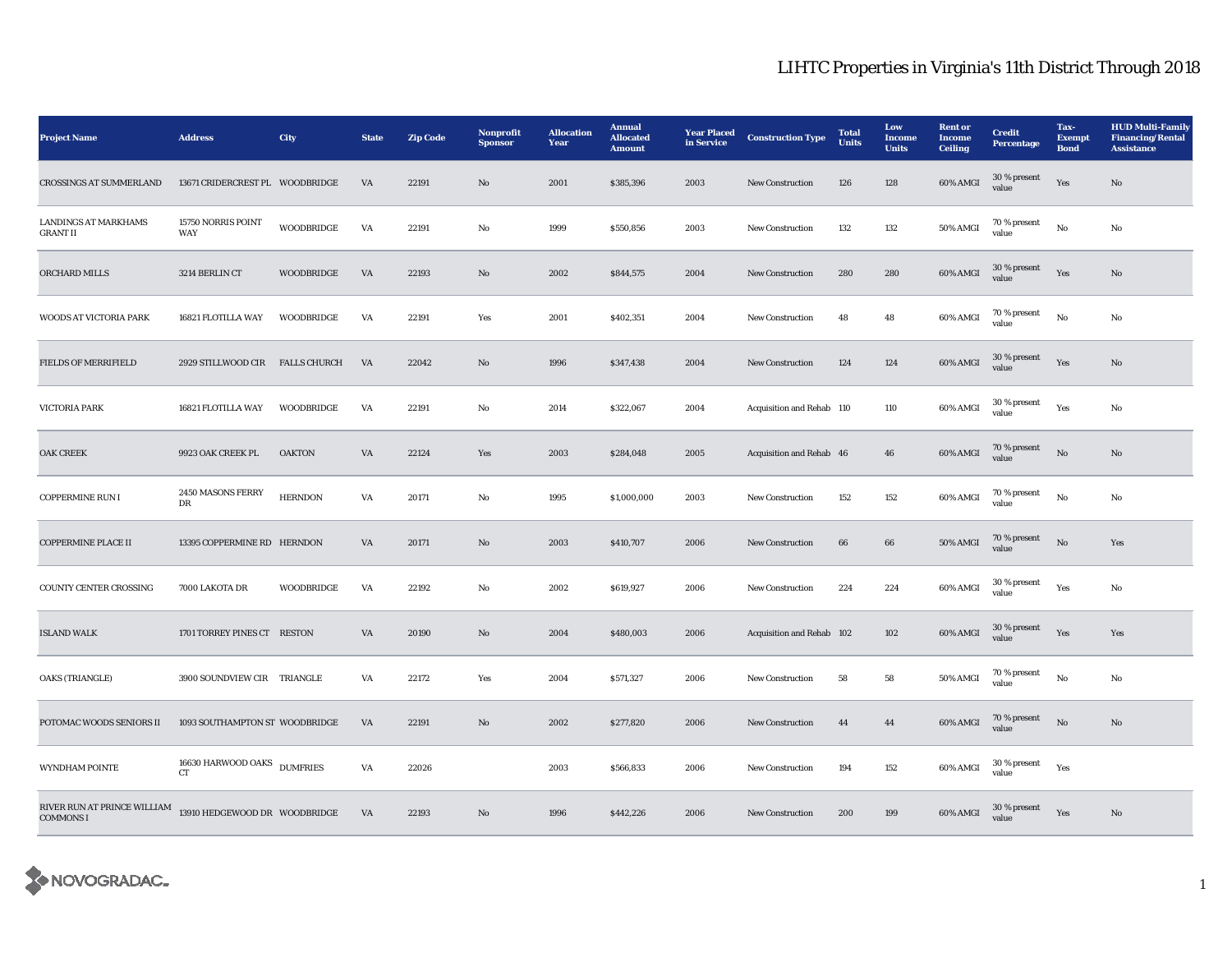## LIHTC Properties in Virginia's 11th District Through 2018

| <b>Project Name</b>                             | <b>Address</b>                  | City                | <b>State</b> | <b>Zip Code</b> | Nonprofit<br><b>Sponsor</b> | <b>Allocation</b><br>Year | <b>Annual</b><br><b>Allocated</b><br><b>Amount</b> | <b>Year Placed</b><br>in Service | <b>Construction Type</b>  | <b>Total</b><br><b>Units</b> | Low<br>Income<br><b>Units</b> | <b>Rent or</b><br><b>Income</b><br><b>Ceiling</b> | <b>Credit</b><br><b>Percentage</b> | Tax-<br><b>Exempt</b><br><b>Bond</b> | <b>HUD Multi-Family</b><br><b>Financing/Rental</b><br><b>Assistance</b> |
|-------------------------------------------------|---------------------------------|---------------------|--------------|-----------------|-----------------------------|---------------------------|----------------------------------------------------|----------------------------------|---------------------------|------------------------------|-------------------------------|---------------------------------------------------|------------------------------------|--------------------------------------|-------------------------------------------------------------------------|
| <b>CROSSINGS AT SUMMERLAND</b>                  | 13671 CRIDERCREST PL WOODBRIDGE |                     | VA           | 22191           | $\rm No$                    | 2001                      | \$385,396                                          | 2003                             | New Construction          | 126                          | 128                           | 60% AMGI                                          | 30 % present<br>value              | Yes                                  | $\mathbf{N}\mathbf{o}$                                                  |
| <b>LANDINGS AT MARKHAMS</b><br><b>GRANT II</b>  | 15750 NORRIS POINT<br>WAY       | <b>WOODBRIDGE</b>   | VA           | 22191           | No                          | 1999                      | \$550,856                                          | 2003                             | New Construction          | 132                          | 132                           | 50% AMGI                                          | 70 % present<br>value              | $\rm No$                             | No                                                                      |
| <b>ORCHARD MILLS</b>                            | 3214 BERLIN CT                  | WOODBRIDGE          | VA           | 22193           | $\mathbf{N}\mathbf{o}$      | 2002                      | \$844,575                                          | 2004                             | New Construction          | 280                          | 280                           | 60% AMGI                                          | 30 % present<br>value              | Yes                                  | <b>No</b>                                                               |
| WOODS AT VICTORIA PARK                          | 16821 FLOTILLA WAY              | WOODBRIDGE          | VA           | 22191           | Yes                         | 2001                      | \$402,351                                          | 2004                             | <b>New Construction</b>   | 48                           | 48                            | 60% AMGI                                          | 70 % present<br>value              | No                                   | No                                                                      |
| <b>FIELDS OF MERRIFIELD</b>                     | 2929 STILLWOOD CIR              | <b>FALLS CHURCH</b> | VA           | 22042           | No                          | 1996                      | \$347,438                                          | 2004                             | <b>New Construction</b>   | 124                          | 124                           | 60% AMGI                                          | 30 % present<br>value              | Yes                                  | No                                                                      |
| <b>VICTORIA PARK</b>                            | 16821 FLOTILLA WAY              | <b>WOODBRIDGE</b>   | VA           | 22191           | No                          | 2014                      | \$322,067                                          | 2004                             | Acquisition and Rehab 110 |                              | 110                           | 60% AMGI                                          | 30 % present<br>value              | Yes                                  | No                                                                      |
| <b>OAK CREEK</b>                                | 9923 OAK CREEK PL               | <b>OAKTON</b>       | VA           | 22124           | Yes                         | 2003                      | \$284,048                                          | 2005                             | Acquisition and Rehab 46  |                              | 46                            | 60% AMGI                                          | 70 % present<br>value              | $\rm No$                             | No                                                                      |
| <b>COPPERMINE RUN I</b>                         | 2450 MASONS FERRY<br>DR         | <b>HERNDON</b>      | VA           | 20171           | No                          | 1995                      | \$1,000,000                                        | 2003                             | <b>New Construction</b>   | 152                          | 152                           | 60% AMGI                                          | 70 % present<br>value              | No                                   | No                                                                      |
| <b>COPPERMINE PLACE II</b>                      | 13395 COPPERMINE RD HERNDON     |                     | VA           | 20171           | No                          | 2003                      | \$410,707                                          | 2006                             | <b>New Construction</b>   | 66                           | 66                            | 50% AMGI                                          | 70 % present<br>value              | $\rm No$                             | Yes                                                                     |
| COUNTY CENTER CROSSING                          | 7000 LAKOTA DR                  | WOODBRIDGE          | VA           | 22192           | No                          | 2002                      | \$619,927                                          | 2006                             | <b>New Construction</b>   | 224                          | 224                           | 60% AMGI                                          | 30 % present<br>value              | Yes                                  | No                                                                      |
| <b>ISLAND WALK</b>                              | 1701 TORREY PINES CT RESTON     |                     | VA           | 20190           | $\mathbf{N}\mathbf{o}$      | 2004                      | \$480,003                                          | 2006                             | Acquisition and Rehab 102 |                              | 102                           | 60% AMGI                                          | 30 % present<br>value              | Yes                                  | Yes                                                                     |
| <b>OAKS (TRIANGLE)</b>                          | 3900 SOUNDVIEW CIR TRIANGLE     |                     | VA           | 22172           | Yes                         | 2004                      | \$571,327                                          | 2006                             | <b>New Construction</b>   | 58                           | 58                            | 50% AMGI                                          | 70 % present<br>value              | No                                   | No                                                                      |
| POTOMAC WOODS SENIORS II                        | 1093 SOUTHAMPTON ST WOODBRIDGE  |                     | VA           | 22191           | No                          | 2002                      | \$277,820                                          | 2006                             | <b>New Construction</b>   | 44                           | 44                            | 60% AMGI                                          | 70 % present<br>value              | No                                   | No                                                                      |
| WYNDHAM POINTE                                  | 16630 HARWOOD OAKS<br><b>CT</b> | <b>DUMFRIES</b>     | VA           | 22026           |                             | 2003                      | \$566,833                                          | 2006                             | <b>New Construction</b>   | 194                          | 152                           | 60% AMGI                                          | 30 % present<br>value              | Yes                                  |                                                                         |
| RIVER RUN AT PRINCE WILLIAM<br><b>COMMONS I</b> | 13910 HEDGEWOOD DR WOODBRIDGE   |                     | VA           | 22193           | $\rm No$                    | 1996                      | \$442,226                                          | 2006                             | <b>New Construction</b>   | 200                          | 199                           | 60% AMGI                                          | 30 % present<br>value              | Yes                                  | $\mathbf{N}\mathbf{o}$                                                  |

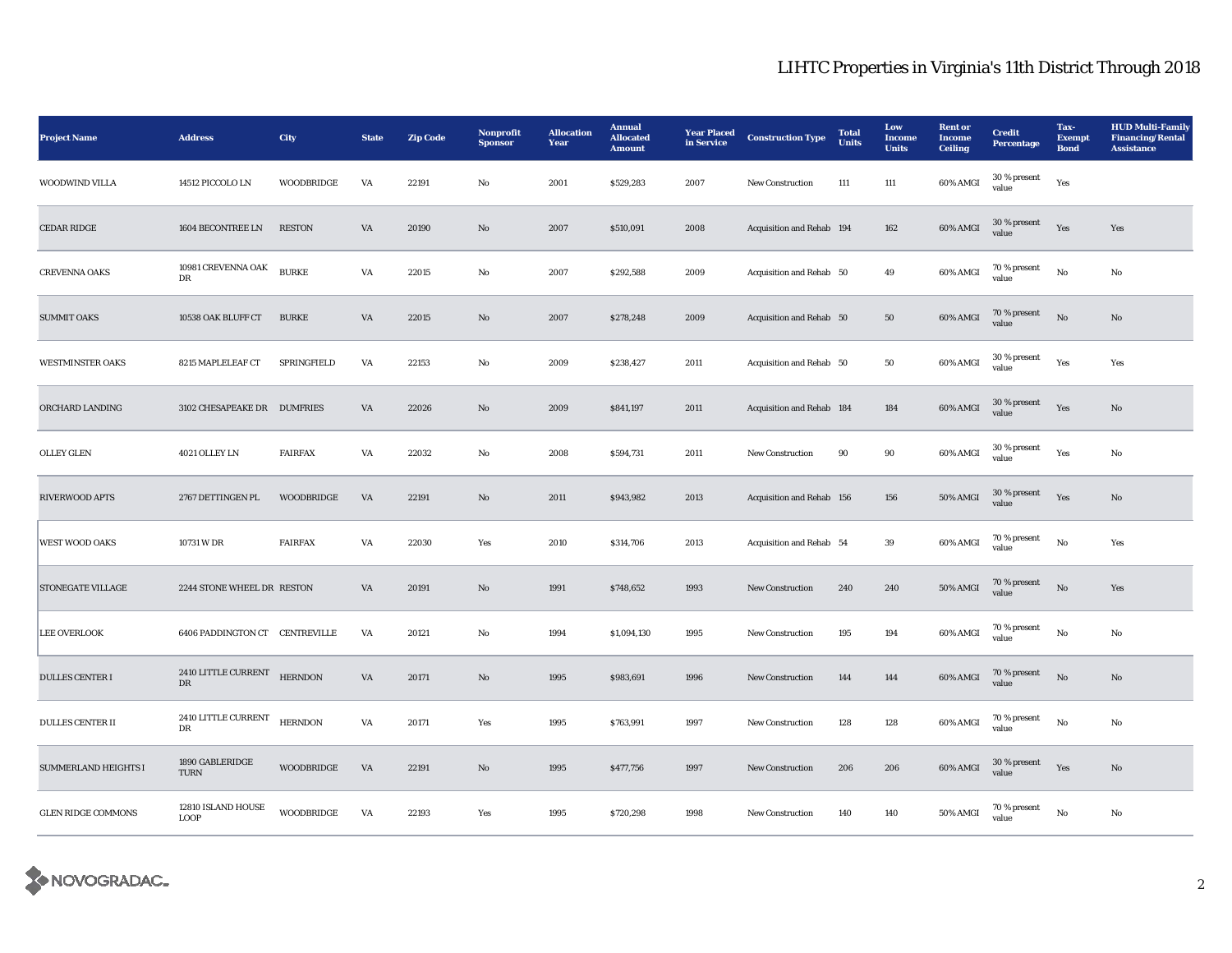## LIHTC Properties in Virginia's 11th District Through 2018

| <b>Project Name</b>         | <b>Address</b>                      | City              | <b>State</b> | <b>Zip Code</b> | Nonprofit<br><b>Sponsor</b> | <b>Allocation</b><br>Year | <b>Annual</b><br><b>Allocated</b><br><b>Amount</b> | <b>Year Placed</b><br>in Service | <b>Construction Type</b>  | <b>Total</b><br><b>Units</b> | Low<br>Income<br><b>Units</b> | <b>Rent or</b><br><b>Income</b><br><b>Ceiling</b> | <b>Credit</b><br><b>Percentage</b> | Tax-<br>Exempt<br><b>Bond</b> | <b>HUD Multi-Family</b><br><b>Financing/Rental</b><br><b>Assistance</b> |
|-----------------------------|-------------------------------------|-------------------|--------------|-----------------|-----------------------------|---------------------------|----------------------------------------------------|----------------------------------|---------------------------|------------------------------|-------------------------------|---------------------------------------------------|------------------------------------|-------------------------------|-------------------------------------------------------------------------|
| WOODWIND VILLA              | 14512 PICCOLO LN                    | <b>WOODBRIDGE</b> | VA           | 22191           | $\mathbf{No}$               | 2001                      | \$529,283                                          | 2007                             | New Construction          | 111                          | 111                           | 60% AMGI                                          | 30 % present<br>value              | Yes                           |                                                                         |
| <b>CEDAR RIDGE</b>          | 1604 BECONTREE LN                   | <b>RESTON</b>     | VA           | 20190           | No                          | 2007                      | \$510,091                                          | 2008                             | Acquisition and Rehab 194 |                              | 162                           | 60% AMGI                                          | 30 % present<br>value              | Yes                           | Yes                                                                     |
| <b>CREVENNA OAKS</b>        | 10981 CREVENNA OAK<br>DR            | <b>BURKE</b>      | VA           | 22015           | No                          | 2007                      | \$292,588                                          | 2009                             | Acquisition and Rehab 50  |                              | 49                            | 60% AMGI                                          | 70 % present<br>value              | No                            | No                                                                      |
| <b>SUMMIT OAKS</b>          | 10538 OAK BLUFF CT                  | <b>BURKE</b>      | VA           | 22015           | $\mathbf{N}\mathbf{o}$      | 2007                      | \$278,248                                          | 2009                             | Acquisition and Rehab 50  |                              | ${\bf 50}$                    | 60% AMGI                                          | 70 % present<br>value              | $\rm \bf No$                  | No                                                                      |
| <b>WESTMINSTER OAKS</b>     | 8215 MAPLELEAF CT                   | SPRINGFIELD       | VA           | 22153           | No                          | 2009                      | \$238,427                                          | 2011                             | Acquisition and Rehab 50  |                              | 50                            | 60% AMGI                                          | 30 % present<br>value              | Yes                           | Yes                                                                     |
| ORCHARD LANDING             | 3102 CHESAPEAKE DR DUMFRIES         |                   | VA           | 22026           | $\mathbf{No}$               | 2009                      | \$841,197                                          | 2011                             | Acquisition and Rehab 184 |                              | 184                           | 60% AMGI                                          | $30\,\%$ present<br>value          | Yes                           | No                                                                      |
| <b>OLLEY GLEN</b>           | 4021 OLLEY LN                       | <b>FAIRFAX</b>    | VA           | 22032           | $_{\rm No}$                 | 2008                      | \$594,731                                          | 2011                             | New Construction          | $90\,$                       | $90\,$                        | 60% AMGI                                          | 30 % present<br>value              | Yes                           | No                                                                      |
| RIVERWOOD APTS              | 2767 DETTINGEN PL                   | WOODBRIDGE        | VA           | 22191           | $\mathbf{N}\mathbf{o}$      | 2011                      | \$943,982                                          | 2013                             | Acquisition and Rehab 156 |                              | 156                           | 50% AMGI                                          | 30 % present<br>value              | Yes                           | $\mathbf{N}\mathbf{o}$                                                  |
| <b>WEST WOOD OAKS</b>       | 10731 W DR                          | <b>FAIRFAX</b>    | VA           | 22030           | Yes                         | 2010                      | \$314,706                                          | 2013                             | Acquisition and Rehab 54  |                              | $39\,$                        | 60% AMGI                                          | 70 % present<br>value              | $_{\rm No}$                   | Yes                                                                     |
| <b>STONEGATE VILLAGE</b>    | 2244 STONE WHEEL DR RESTON          |                   | VA           | 20191           | No                          | 1991                      | \$748,652                                          | 1993                             | New Construction          | 240                          | 240                           | <b>50% AMGI</b>                                   | 70 % present<br>value              | $\rm \bf No$                  | Yes                                                                     |
| <b>LEE OVERLOOK</b>         | 6406 PADDINGTON CT CENTREVILLE      |                   | VA           | 20121           | No                          | 1994                      | \$1,094,130                                        | 1995                             | New Construction          | 195                          | 194                           | 60% AMGI                                          | 70 % present<br>value              | No                            | No                                                                      |
| <b>DULLES CENTER I</b>      | 2410 LITTLE CURRENT<br>$_{\rm DR}$  | <b>HERNDON</b>    | VA           | 20171           | No                          | 1995                      | \$983,691                                          | 1996                             | <b>New Construction</b>   | 144                          | 144                           | 60% AMGI                                          | 70 % present<br>value              | $\rm No$                      | $\mathbf{No}$                                                           |
| <b>DULLES CENTER II</b>     | $2410$ LITTLE CURRENT HERNDON<br>DR |                   | VA           | 20171           | Yes                         | 1995                      | \$763,991                                          | 1997                             | <b>New Construction</b>   | 128                          | 128                           | 60% AMGI                                          | $70\,\%$ present<br>value          | No                            | No                                                                      |
| <b>SUMMERLAND HEIGHTS I</b> | 1890 GABLERIDGE<br><b>TURN</b>      | <b>WOODBRIDGE</b> | VA           | 22191           | $\mathbf{N}\mathbf{o}$      | 1995                      | \$477,756                                          | 1997                             | New Construction          | 206                          | 206                           | 60% AMGI                                          | 30 % present<br>value              | Yes                           | No                                                                      |
| <b>GLEN RIDGE COMMONS</b>   | 12810 ISLAND HOUSE<br><b>LOOP</b>   | WOODBRIDGE        | VA           | 22193           | Yes                         | 1995                      | \$720,298                                          | 1998                             | <b>New Construction</b>   | 140                          | 140                           | 50% AMGI                                          | 70 % present<br>value              | No                            | No                                                                      |

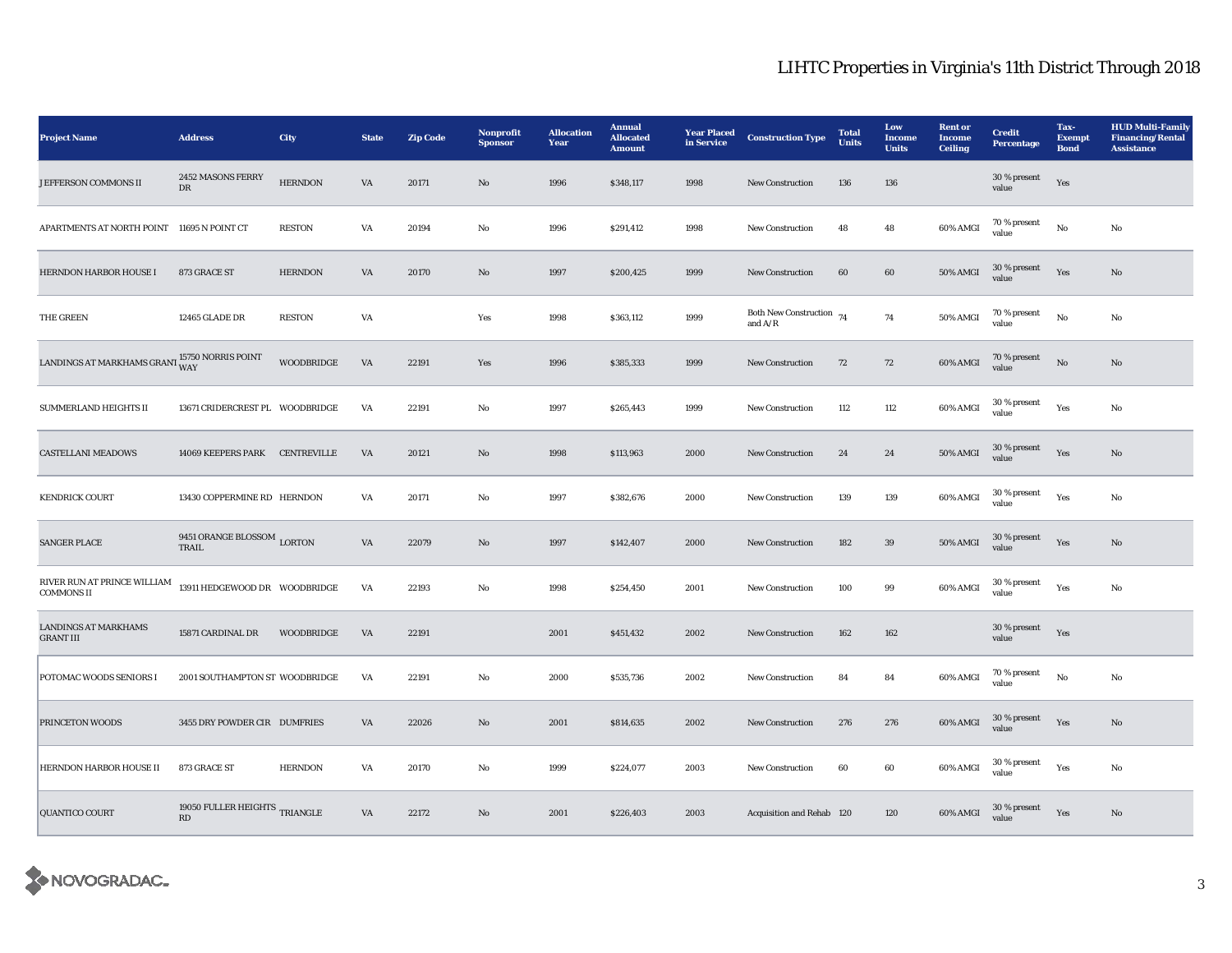## LIHTC Properties in Virginia's 11th District Through 2018

| <b>Project Name</b>                                           | <b>Address</b>                      | City              | <b>State</b> | <b>Zip Code</b> | Nonprofit<br><b>Sponsor</b> | <b>Allocation</b><br>Year | <b>Annual</b><br><b>Allocated</b><br><b>Amount</b> | <b>Year Placed</b><br>in Service | <b>Construction Type</b>                | <b>Total</b><br>Units | Low<br>Income<br><b>Units</b> | <b>Rent or</b><br><b>Income</b><br><b>Ceiling</b> | <b>Credit</b><br>Percentage | Tax-<br><b>Exempt</b><br><b>Bond</b> | <b>HUD Multi-Family</b><br><b>Financing/Rental</b><br><b>Assistance</b> |
|---------------------------------------------------------------|-------------------------------------|-------------------|--------------|-----------------|-----------------------------|---------------------------|----------------------------------------------------|----------------------------------|-----------------------------------------|-----------------------|-------------------------------|---------------------------------------------------|-----------------------------|--------------------------------------|-------------------------------------------------------------------------|
| JEFFERSON COMMONS II                                          | 2452 MASONS FERRY<br>${\rm DR}$     | <b>HERNDON</b>    | VA           | 20171           | $\mathbf{N}\mathbf{o}$      | 1996                      | \$348,117                                          | 1998                             | New Construction                        | 136                   | 136                           |                                                   | 30 % present<br>value       | Yes                                  |                                                                         |
| APARTMENTS AT NORTH POINT 11695 N POINT CT                    |                                     | <b>RESTON</b>     | VA           | 20194           | No                          | 1996                      | \$291,412                                          | 1998                             | New Construction                        | 48                    | 48                            | 60% AMGI                                          | 70 % present<br>value       | No                                   | No                                                                      |
| HERNDON HARBOR HOUSE I                                        | 873 GRACE ST                        | <b>HERNDON</b>    | VA           | 20170           | No                          | 1997                      | \$200,425                                          | 1999                             | <b>New Construction</b>                 | 60                    | 60                            | <b>50% AMGI</b>                                   | 30 % present<br>value       | Yes                                  | No                                                                      |
| THE GREEN                                                     | 12465 GLADE DR                      | <b>RESTON</b>     | VA           |                 | Yes                         | 1998                      | \$363,112                                          | 1999                             | Both New Construction $74$<br>and $A/R$ |                       | 74                            | 50% AMGI                                          | 70 % present<br>value       | No                                   | No                                                                      |
| LANDINGS AT MARKHAMS GRANT $_{\rm WAY}^{15750\,NORRIS}$ POINT |                                     | <b>WOODBRIDGE</b> | VA           | 22191           | Yes                         | 1996                      | \$385,333                                          | 1999                             | New Construction                        | 72                    | 72                            | 60% AMGI                                          | 70 % present<br>value       | $_{\rm No}$                          | $\mathbf{No}$                                                           |
| SUMMERLAND HEIGHTS II                                         | 13671 CRIDERCREST PL WOODBRIDGE     |                   | VA           | 22191           | $_{\rm No}$                 | 1997                      | \$265,443                                          | 1999                             | New Construction                        | 112                   | 112                           | 60% AMGI                                          | 30 % present<br>value       | Yes                                  | $_{\rm No}$                                                             |
| <b>CASTELLANI MEADOWS</b>                                     | 14069 KEEPERS PARK CENTREVILLE      |                   | VA           | 20121           | No                          | 1998                      | \$113,963                                          | 2000                             | New Construction                        | 24                    | 24                            | 50% AMGI                                          | 30 % present<br>value       | Yes                                  | $\rm\thinspace No$                                                      |
| <b>KENDRICK COURT</b>                                         | 13430 COPPERMINE RD HERNDON         |                   | VA           | 20171           | No                          | 1997                      | \$382,676                                          | 2000                             | New Construction                        | 139                   | 139                           | 60% AMGI                                          | 30 % present<br>value       | Yes                                  | No                                                                      |
| <b>SANGER PLACE</b>                                           | 9451 ORANGE BLOSSOM LORTON<br>TRAIL |                   | VA           | 22079           | No                          | 1997                      | \$142,407                                          | 2000                             | <b>New Construction</b>                 | 182                   | 39                            | 50% AMGI                                          | 30 % present<br>value       | Yes                                  | No                                                                      |
| RIVER RUN AT PRINCE WILLIAM<br><b>COMMONS II</b>              | 13911 HEDGEWOOD DR   WOODBRIDGE     |                   | VA           | 22193           | No                          | 1998                      | \$254,450                                          | 2001                             | <b>New Construction</b>                 | 100                   | 99                            | 60% AMGI                                          | 30 % present<br>value       | Yes                                  | No                                                                      |
| <b>LANDINGS AT MARKHAMS</b><br><b>GRANT III</b>               | 15871 CARDINAL DR                   | WOODBRIDGE        | VA           | 22191           |                             | 2001                      | \$451,432                                          | 2002                             | New Construction                        | 162                   | 162                           |                                                   | 30 % present<br>value       | Yes                                  |                                                                         |
| POTOMAC WOODS SENIORS I                                       | 2001 SOUTHAMPTON ST WOODBRIDGE      |                   | VA           | 22191           | $\mathbf{No}$               | 2000                      | \$535,736                                          | 2002                             | New Construction                        | 84                    | 84                            | 60% AMGI                                          | 70 % present<br>value       | No                                   | No                                                                      |
| PRINCETON WOODS                                               | 3455 DRY POWDER CIR DUMFRIES        |                   | VA           | 22026           | No                          | 2001                      | \$814,635                                          | 2002                             | New Construction                        | 276                   | 276                           | 60% AMGI                                          | 30 % present<br>value       | Yes                                  | No                                                                      |
| HERNDON HARBOR HOUSE II                                       | 873 GRACE ST                        | <b>HERNDON</b>    | VA           | 20170           | No                          | 1999                      | \$224,077                                          | 2003                             | <b>New Construction</b>                 | 60                    | 60                            | 60% AMGI                                          | 30 % present<br>value       | Yes                                  | No                                                                      |
| <b>QUANTICO COURT</b>                                         | 19050 FULLER HEIGHTS TRIANGLE<br>RD |                   | VA           | 22172           | No                          | 2001                      | \$226,403                                          | 2003                             | Acquisition and Rehab 120               |                       | 120                           | 60% AMGI                                          | 30 % present<br>value       | Yes                                  | No                                                                      |